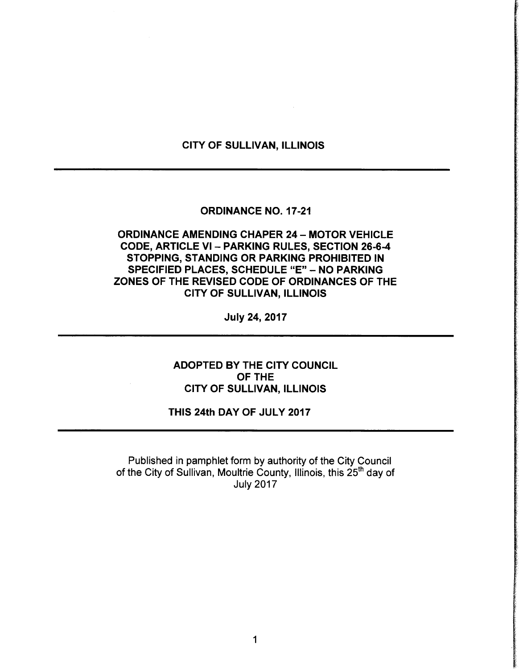# CITY OF SULLIVAN, ILLINOIS

## **ORDINANCE NO. 17-21**

# ORDINANCE AMENDING CHAPER 24 — MOTOR VEHICLE CODE, ARTICLE VI - PARKING RULES, SECTION 26-6-4 STOPPING, STANDING OR PARKING PROHIBITED IN SPECIFIED PLACES, SCHEDULE "E" - NO PARKING ZONES OF THE REVISED CODE OF ORDINANCES OF THE CITY OF SULLIVAN, ILLINOIS

July 24, 2017

ADOPTED BY THE CITY COUNCIL OF THE CITY OF SULLIVAN, ILLINOIS

# THIS 24th DAY OF JULY 2017

Published in pamphlet form by authority of the City Council of the City of Sullivan, Moultrie County, Illinois, this 25<sup>th</sup> day of July 2017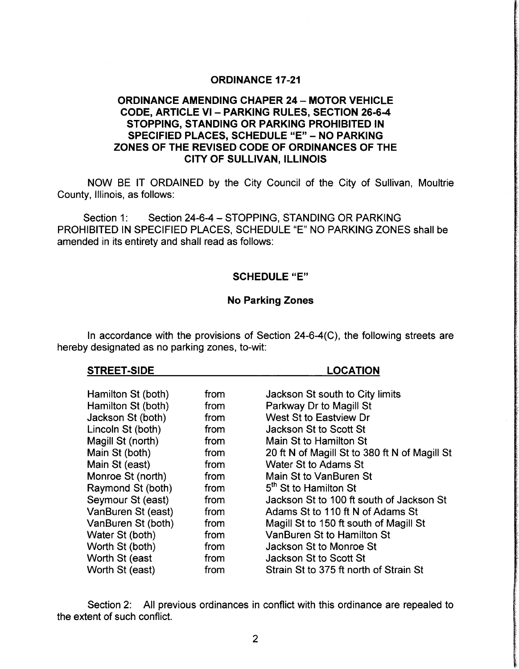# **ORDINANCE 17-21**

# ORDINANCE AMENDING CHAPER 24 — MOTOR VEHICLE CODE, ARTICLE VI — PARKING RULES, SECTION 26-6-4 STOPPING, STANDING OR PARKING PROHIBITED IN SPECIFIED PLACES, SCHEDULE "E" - NO PARKING ZONES OF THE REVISED CODE OF ORDINANCES OF THE CITY OF SULLIVAN, ILLINOIS

NOW BE IT ORDAINED by the City Council of the City of Sullivan, Moultrie County, Illinois, as follows:

Section 1: Section 24-6-4 - STOPPING, STANDING OR PARKING PROHIBITED IN SPECIFIED PLACES, SCHEDULE "E" NO PARKING ZONES shall be amended in its entirety and shall read as follows:

### SCHEDULE "E"

## No Parking Zones

In accordance with the provisions of Section  $24-6-4(C)$ , the following streets are hereby designated as no parking zones, to-wit:

#### STREET-SIDE LOCATION

| Hamilton St (both) | from | Jackson St south to City limits               |
|--------------------|------|-----------------------------------------------|
| Hamilton St (both) | from | Parkway Dr to Magill St                       |
| Jackson St (both)  | from | West St to Eastview Dr                        |
| Lincoln St (both)  | from | Jackson St to Scott St                        |
| Magill St (north)  | from | Main St to Hamilton St                        |
| Main St (both)     | from | 20 ft N of Magill St to 380 ft N of Magill St |
| Main St (east)     | from | Water St to Adams St                          |
| Monroe St (north)  | from | Main St to VanBuren St                        |
| Raymond St (both)  | from | 5 <sup>th</sup> St to Hamilton St             |
| Seymour St (east)  | from | Jackson St to 100 ft south of Jackson St      |
| VanBuren St (east) | from | Adams St to 110 ft N of Adams St              |
| VanBuren St (both) | from | Magill St to 150 ft south of Magill St        |
| Water St (both)    | from | <b>VanBuren St to Hamilton St</b>             |
| Worth St (both)    | from | Jackson St to Monroe St                       |
| Worth St (east     | from | Jackson St to Scott St                        |
| Worth St (east)    | from | Strain St to 375 ft north of Strain St        |

Section 2: All previous ordinances in conflict with this ordinance are repealed to the extent of such conflict.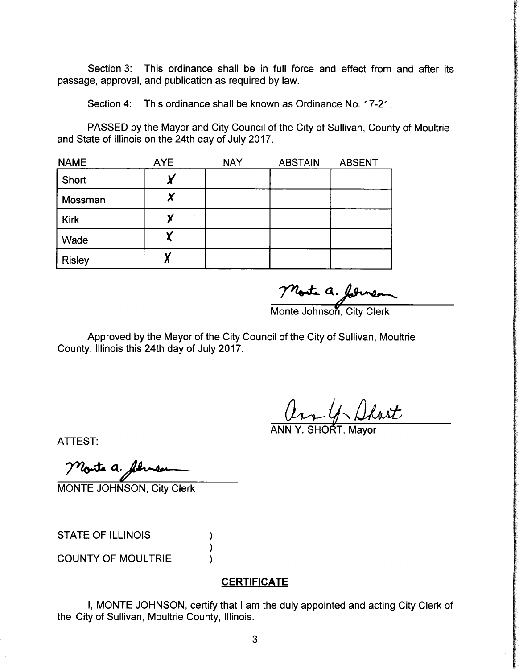Section 3: This ordinance shall be in full force and effect from and after its passage, approval, and publication as required by law.

Section 4: This ordinance shall be known as Ordinance No. 17-21.

PASSED by the Mayor and City Council of the City of Sullivan, County of Moultrie and State of Illinois on the 24th day of July 2017.

| <b>NAME</b>   | <b>AYE</b> | <b>NAY</b> | <b>ABSTAIN</b> | <b>ABSENT</b> |
|---------------|------------|------------|----------------|---------------|
| Short         |            |            |                |               |
| Mossman       |            |            |                |               |
| <b>Kirk</b>   |            |            |                |               |
| Wade          |            |            |                |               |
| <b>Risley</b> |            |            |                |               |

Monte a. formen

Approved by the Mayor of the City Council of the City of Sullivan, Moultrie County, Illinois this 24th day of July 2017.

ANN Y. SHORT, Mayor

ATTEST:

Monte a filmen

MONTE JOHNSON, City Clerk

STATE OF ILLINOIS

COUNTY OF MOULTRIE

## **CERTIFICATE**

I, MONTE JOHNSON, certify that <sup>I</sup> am the duly appointed and acting City Clerk of the City of Sullivan, Moultrie County, Illinois.